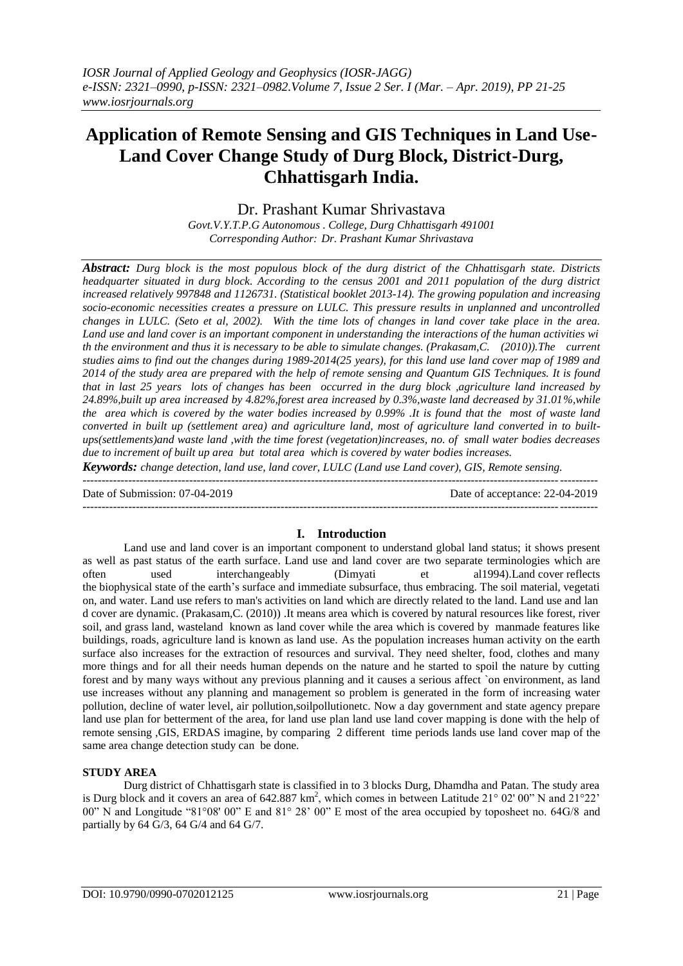# **Application of Remote Sensing and GIS Techniques in Land Use-Land Cover Change Study of Durg Block, District-Durg, Chhattisgarh India.**

Dr. Prashant Kumar Shrivastava

*Govt.V.Y.T.P.G Autonomous . College, Durg Chhattisgarh 491001 Corresponding Author: Dr. Prashant Kumar Shrivastava*

*Abstract: Durg block is the most populous block of the durg district of the Chhattisgarh state. Districts headquarter situated in durg block. According to the census 2001 and 2011 population of the durg district increased relatively 997848 and 1126731. (Statistical booklet 2013-14). The growing population and increasing socio-economic necessities creates a pressure on LULC. This pressure results in unplanned and uncontrolled changes in LULC. (Seto et al, 2002). With the time lots of changes in land cover take place in the area.*  Land use and land cover is an important component in understanding the interactions of the human activities wi *th the environment and thus it is necessary to be able to simulate changes. (Prakasam,C. (2010)).The current studies aims to find out the changes during 1989-2014(25 years), for this land use land cover map of 1989 and 2014 of the study area are prepared with the help of remote sensing and Quantum GIS Techniques. It is found that in last 25 years lots of changes has been occurred in the durg block ,agriculture land increased by 24.89%,built up area increased by 4.82%,forest area increased by 0.3%,waste land decreased by 31.01%,while the area which is covered by the water bodies increased by 0.99% .It is found that the most of waste land converted in built up (settlement area) and agriculture land, most of agriculture land converted in to builtups(settlements)and waste land ,with the time forest (vegetation)increases, no. of small water bodies decreases due to increment of built up area but total area which is covered by water bodies increases.*

*Keywords: change detection, land use, land cover, LULC (Land use Land cover), GIS, Remote sensing.* ---------------------------------------------------------------------------------------------------------------------------------------

Date of Submission: 07-04-2019 Date of acceptance: 22-04-2019

## ---------------------------------------------------------------------------------------------------------------------------------------

#### **I. Introduction**

Land use and land cover is an important component to understand global land status; it shows present as well as past status of the earth surface. Land use and land cover are two separate terminologies which are<br>often used interchangeably (Dimyati et al1994). Land cover reflects often used interchangeably (Dimyati et al1994).Land cover reflects the biophysical state of the earth's surface and immediate subsurface, thus embracing. The soil material, vegetati on, and water. Land use refers to man's activities on land which are directly related to the land. Land use and lan d cover are dynamic. (Prakasam,C. (2010)) .It means area which is covered by natural resources like forest, river soil, and grass land, wasteland known as land cover while the area which is covered by manmade features like buildings, roads, agriculture land is known as land use. As the population increases human activity on the earth surface also increases for the extraction of resources and survival. They need shelter, food, clothes and many more things and for all their needs human depends on the nature and he started to spoil the nature by cutting forest and by many ways without any previous planning and it causes a serious affect `on environment, as land use increases without any planning and management so problem is generated in the form of increasing water pollution, decline of water level, air pollution,soilpollutionetc. Now a day government and state agency prepare land use plan for betterment of the area, for land use plan land use land cover mapping is done with the help of remote sensing ,GIS, ERDAS imagine, by comparing 2 different time periods lands use land cover map of the same area change detection study can be done.

#### **STUDY AREA**

Durg district of Chhattisgarh state is classified in to 3 blocks Durg, Dhamdha and Patan. The study area is Durg block and it covers an area of 642.887 km<sup>2</sup>, which comes in between Latitude 21° 02' 00" N and 21°22' 00" N and Longitude "81°08' 00" E and 81° 28' 00" E most of the area occupied by toposheet no. 64G/8 and partially by 64 G/3, 64 G/4 and 64 G/7.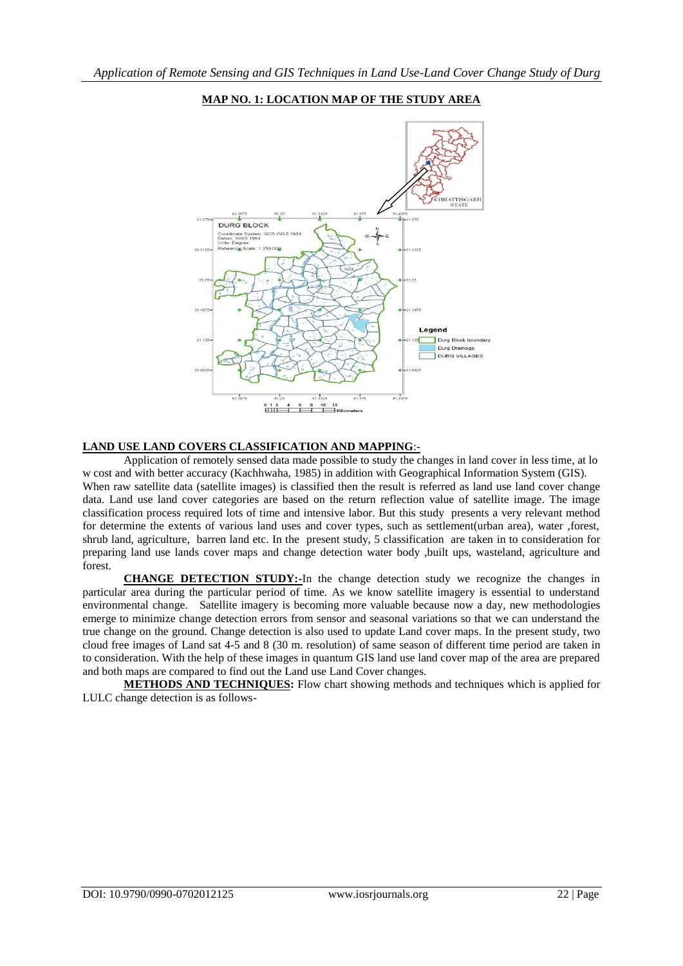

## **MAP NO. 1: LOCATION MAP OF THE STUDY AREA**

#### **LAND USE LAND COVERS CLASSIFICATION AND MAPPING**:-

Application of remotely sensed data made possible to study the changes in land cover in less time, at lo w cost and with better accuracy (Kachhwaha, 1985) in addition with Geographical Information System (GIS). When raw satellite data (satellite images) is classified then the result is referred as land use land cover change data. Land use land cover categories are based on the return reflection value of satellite image. The image classification process required lots of time and intensive labor. But this study presents a very relevant method for determine the extents of various land uses and cover types, such as settlement(urban area), water ,forest, shrub land, agriculture, barren land etc. In the present study, 5 classification are taken in to consideration for preparing land use lands cover maps and change detection water body ,built ups, wasteland, agriculture and forest.

**CHANGE DETECTION STUDY:-**In the change detection study we recognize the changes in particular area during the particular period of time. As we know satellite imagery is essential to understand environmental change. Satellite imagery is becoming more valuable because now a day, new methodologies emerge to minimize change detection errors from sensor and seasonal variations so that we can understand the true change on the ground. Change detection is also used to update Land cover maps. In the present study, two cloud free images of Land sat 4-5 and 8 (30 m. resolution) of same season of different time period are taken in to consideration. With the help of these images in quantum GIS land use land cover map of the area are prepared and both maps are compared to find out the Land use Land Cover changes.

**METHODS AND TECHNIQUES:** Flow chart showing methods and techniques which is applied for LULC change detection is as follows-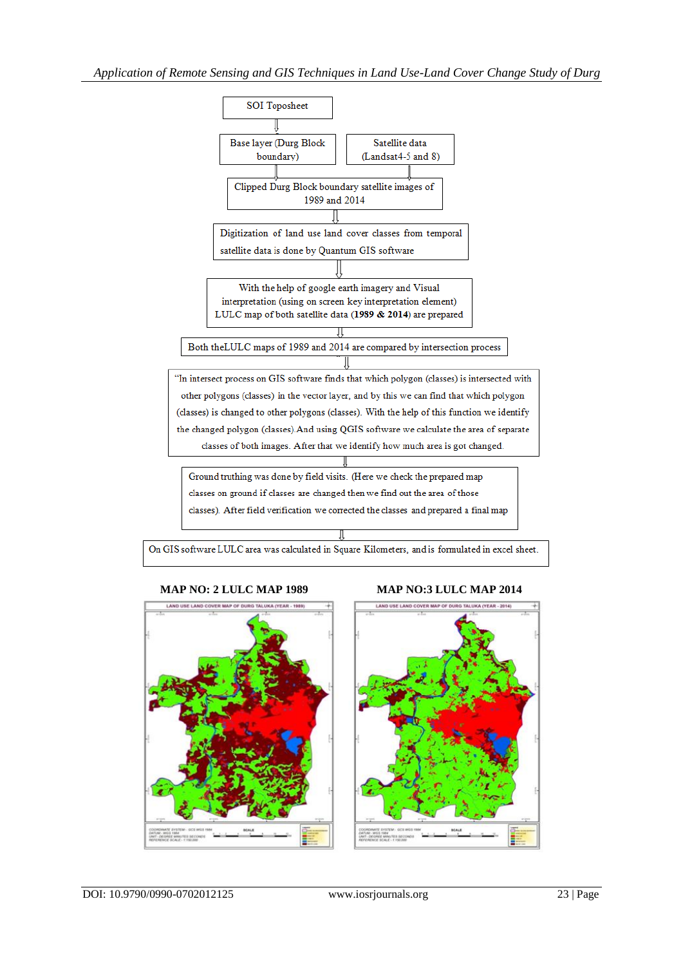

#### **MAP NO: 2 LULC MAP 1989 MAP NO:3 LULC MAP 2014**

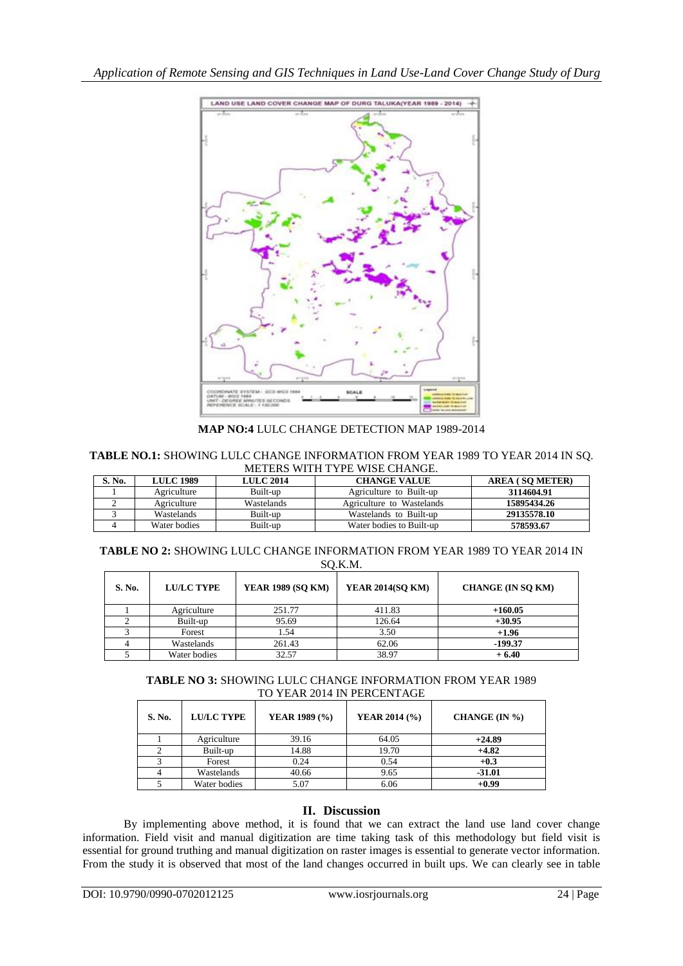

**MAP NO:4** LULC CHANGE DETECTION MAP 1989-2014

**TABLE NO.1:** SHOWING LULC CHANGE INFORMATION FROM YEAR 1989 TO YEAR 2014 IN SQ. METERS WITH TYPE WISE CHANGE.

| S. No. | <b>LULC 1989</b> | <b>LULC 2014</b> | <b>CHANGE VALUE</b>       | <b>AREA (SO METER)</b> |  |  |  |  |
|--------|------------------|------------------|---------------------------|------------------------|--|--|--|--|
|        | Agriculture      | Built-up         | Agriculture to Built-up   | 3114604.91             |  |  |  |  |
|        | Agriculture      | Wastelands       | Agriculture to Wastelands | 15895434.26            |  |  |  |  |
|        | Wastelands       | Built-up         | Wastelands to Built-up    | 29135578.10            |  |  |  |  |
|        | Water bodies     | Built-up         | Water bodies to Built-up  | 578593.67              |  |  |  |  |

**TABLE NO 2:** SHOWING LULC CHANGE INFORMATION FROM YEAR 1989 TO YEAR 2014 IN SQ.K.M.

| S. No. | <b>LU/LC TYPE</b> | <b>YEAR 1989 (SQ KM)</b> | <b>YEAR 2014(SO KM)</b> | <b>CHANGE (IN SO KM)</b> |
|--------|-------------------|--------------------------|-------------------------|--------------------------|
|        | Agriculture       | 251.77                   | 411.83                  | $+160.05$                |
|        | Built-up          | 95.69                    | 126.64                  | $+30.95$                 |
|        | Forest            | 1.54                     | 3.50                    | $+1.96$                  |
|        | Wastelands        | 261.43                   | 62.06                   | -199.37                  |
|        | Water bodies      | 32.57                    | 38.97                   | $+6.40$                  |

**TABLE NO 3:** SHOWING LULC CHANGE INFORMATION FROM YEAR 1989 TO YEAR 2014 IN PERCENTAGE

| S. No. | <b>LU/LC TYPE</b> | YEAR 1989 (%) | YEAR 2014 (%) | CHANGE (IN %) |
|--------|-------------------|---------------|---------------|---------------|
|        | Agriculture       | 39.16         | 64.05         | $+24.89$      |
|        | Built-up          | 14.88         | 19.70         | $+4.82$       |
|        | Forest            | 0.24          | 0.54          | $+0.3$        |
|        | Wastelands        | 40.66         | 9.65          | $-31.01$      |
|        | Water bodies      | 5.07          | 6.06          | $+0.99$       |

# **II. Discussion**

By implementing above method, it is found that we can extract the land use land cover change information. Field visit and manual digitization are time taking task of this methodology but field visit is essential for ground truthing and manual digitization on raster images is essential to generate vector information. From the study it is observed that most of the land changes occurred in built ups. We can clearly see in table